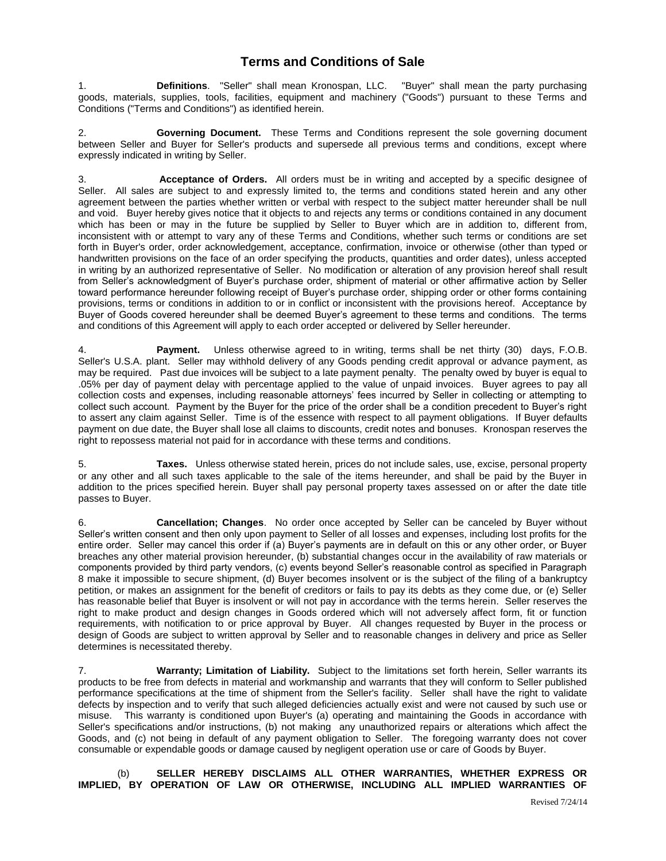## **Terms and Conditions of Sale**

1. **Definitions**. "Seller" shall mean Kronospan, LLC. "Buyer" shall mean the party purchasing goods, materials, supplies, tools, facilities, equipment and machinery ("Goods") pursuant to these Terms and Conditions ("Terms and Conditions") as identified herein.

2. **Governing Document.** These Terms and Conditions represent the sole governing document between Seller and Buyer for Seller's products and supersede all previous terms and conditions, except where expressly indicated in writing by Seller.

3. **Acceptance of Orders.** All orders must be in writing and accepted by a specific designee of Seller. All sales are subject to and expressly limited to, the terms and conditions stated herein and any other agreement between the parties whether written or verbal with respect to the subject matter hereunder shall be null and void. Buyer hereby gives notice that it objects to and rejects any terms or conditions contained in any document which has been or may in the future be supplied by Seller to Buyer which are in addition to, different from, inconsistent with or attempt to vary any of these Terms and Conditions, whether such terms or conditions are set forth in Buyer's order, order acknowledgement, acceptance, confirmation, invoice or otherwise (other than typed or handwritten provisions on the face of an order specifying the products, quantities and order dates), unless accepted in writing by an authorized representative of Seller. No modification or alteration of any provision hereof shall result from Seller's acknowledgment of Buyer's purchase order, shipment of material or other affirmative action by Seller toward performance hereunder following receipt of Buyer's purchase order, shipping order or other forms containing provisions, terms or conditions in addition to or in conflict or inconsistent with the provisions hereof. Acceptance by Buyer of Goods covered hereunder shall be deemed Buyer's agreement to these terms and conditions. The terms and conditions of this Agreement will apply to each order accepted or delivered by Seller hereunder.

4. **Payment.** Unless otherwise agreed to in writing, terms shall be net thirty (30) days, F.O.B. Seller's U.S.A. plant. Seller may withhold delivery of any Goods pending credit approval or advance payment, as may be required. Past due invoices will be subject to a late payment penalty. The penalty owed by buyer is equal to .05% per day of payment delay with percentage applied to the value of unpaid invoices. Buyer agrees to pay all collection costs and expenses, including reasonable attorneys' fees incurred by Seller in collecting or attempting to collect such account. Payment by the Buyer for the price of the order shall be a condition precedent to Buyer's right to assert any claim against Seller. Time is of the essence with respect to all payment obligations. If Buyer defaults payment on due date, the Buyer shall lose all claims to discounts, credit notes and bonuses. Kronospan reserves the right to repossess material not paid for in accordance with these terms and conditions.

5. **Taxes.** Unless otherwise stated herein, prices do not include sales, use, excise, personal property or any other and all such taxes applicable to the sale of the items hereunder, and shall be paid by the Buyer in addition to the prices specified herein. Buyer shall pay personal property taxes assessed on or after the date title passes to Buyer.

6. **Cancellation; Changes**. No order once accepted by Seller can be canceled by Buyer without Seller's written consent and then only upon payment to Seller of all losses and expenses, including lost profits for the entire order. Seller may cancel this order if (a) Buyer's payments are in default on this or any other order, or Buyer breaches any other material provision hereunder, (b) substantial changes occur in the availability of raw materials or components provided by third party vendors, (c) events beyond Seller's reasonable control as specified in Paragraph 8 make it impossible to secure shipment, (d) Buyer becomes insolvent or is the subject of the filing of a bankruptcy petition, or makes an assignment for the benefit of creditors or fails to pay its debts as they come due, or (e) Seller has reasonable belief that Buyer is insolvent or will not pay in accordance with the terms herein. Seller reserves the right to make product and design changes in Goods ordered which will not adversely affect form, fit or function requirements, with notification to or price approval by Buyer. All changes requested by Buyer in the process or design of Goods are subject to written approval by Seller and to reasonable changes in delivery and price as Seller determines is necessitated thereby.

7. **Warranty; Limitation of Liability.** Subject to the limitations set forth herein, Seller warrants its products to be free from defects in material and workmanship and warrants that they will conform to Seller published performance specifications at the time of shipment from the Seller's facility. Seller shall have the right to validate defects by inspection and to verify that such alleged deficiencies actually exist and were not caused by such use or misuse. This warranty is conditioned upon Buyer's (a) operating and maintaining the Goods in accordance with Seller's specifications and/or instructions, (b) not making any unauthorized repairs or alterations which affect the Goods, and (c) not being in default of any payment obligation to Seller. The foregoing warranty does not cover consumable or expendable goods or damage caused by negligent operation use or care of Goods by Buyer.

(b) **SELLER HEREBY DISCLAIMS ALL OTHER WARRANTIES, WHETHER EXPRESS OR IMPLIED, BY OPERATION OF LAW OR OTHERWISE, INCLUDING ALL IMPLIED WARRANTIES OF**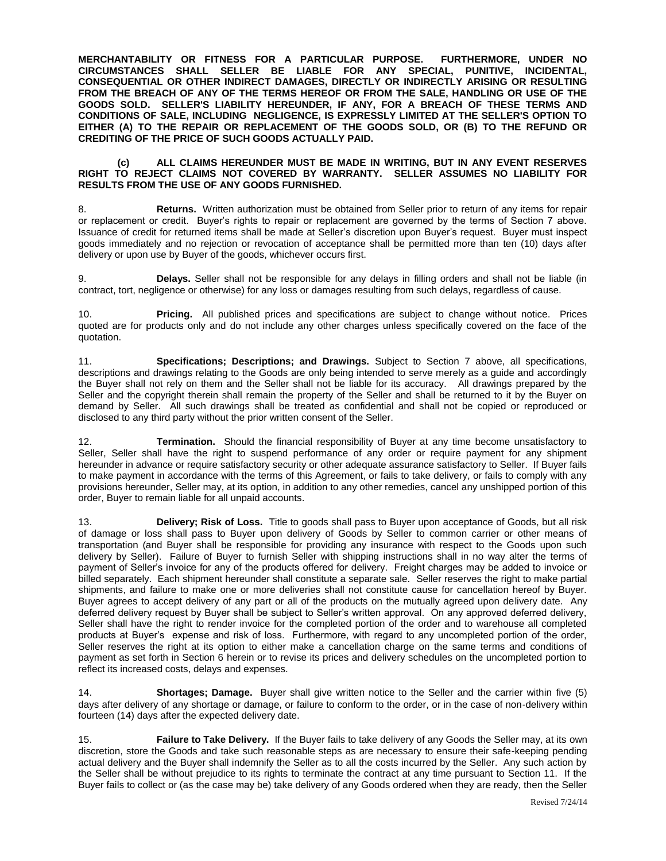**MERCHANTABILITY OR FITNESS FOR A PARTICULAR PURPOSE. FURTHERMORE, UNDER NO CIRCUMSTANCES SHALL SELLER BE LIABLE FOR ANY SPECIAL, PUNITIVE, INCIDENTAL, CONSEQUENTIAL OR OTHER INDIRECT DAMAGES, DIRECTLY OR INDIRECTLY ARISING OR RESULTING FROM THE BREACH OF ANY OF THE TERMS HEREOF OR FROM THE SALE, HANDLING OR USE OF THE GOODS SOLD. SELLER'S LIABILITY HEREUNDER, IF ANY, FOR A BREACH OF THESE TERMS AND CONDITIONS OF SALE, INCLUDING NEGLIGENCE, IS EXPRESSLY LIMITED AT THE SELLER'S OPTION TO EITHER (A) TO THE REPAIR OR REPLACEMENT OF THE GOODS SOLD, OR (B) TO THE REFUND OR CREDITING OF THE PRICE OF SUCH GOODS ACTUALLY PAID.**

## **(c) ALL CLAIMS HEREUNDER MUST BE MADE IN WRITING, BUT IN ANY EVENT RESERVES RIGHT TO REJECT CLAIMS NOT COVERED BY WARRANTY. SELLER ASSUMES NO LIABILITY FOR RESULTS FROM THE USE OF ANY GOODS FURNISHED.**

8. **Returns.** Written authorization must be obtained from Seller prior to return of any items for repair or replacement or credit. Buyer's rights to repair or replacement are governed by the terms of Section 7 above. Issuance of credit for returned items shall be made at Seller's discretion upon Buyer's request. Buyer must inspect goods immediately and no rejection or revocation of acceptance shall be permitted more than ten (10) days after delivery or upon use by Buyer of the goods, whichever occurs first.

9. **Delays.** Seller shall not be responsible for any delays in filling orders and shall not be liable (in contract, tort, negligence or otherwise) for any loss or damages resulting from such delays, regardless of cause.

10. **Pricing.** All published prices and specifications are subject to change without notice. Prices quoted are for products only and do not include any other charges unless specifically covered on the face of the quotation.

11. **Specifications; Descriptions; and Drawings.** Subject to Section 7 above, all specifications, descriptions and drawings relating to the Goods are only being intended to serve merely as a guide and accordingly the Buyer shall not rely on them and the Seller shall not be liable for its accuracy. All drawings prepared by the Seller and the copyright therein shall remain the property of the Seller and shall be returned to it by the Buyer on demand by Seller. All such drawings shall be treated as confidential and shall not be copied or reproduced or disclosed to any third party without the prior written consent of the Seller.

12. **Termination.** Should the financial responsibility of Buyer at any time become unsatisfactory to Seller, Seller shall have the right to suspend performance of any order or require payment for any shipment hereunder in advance or require satisfactory security or other adequate assurance satisfactory to Seller. If Buyer fails to make payment in accordance with the terms of this Agreement, or fails to take delivery, or fails to comply with any provisions hereunder, Seller may, at its option, in addition to any other remedies, cancel any unshipped portion of this order, Buyer to remain liable for all unpaid accounts.

13. **Delivery; Risk of Loss.** Title to goods shall pass to Buyer upon acceptance of Goods, but all risk of damage or loss shall pass to Buyer upon delivery of Goods by Seller to common carrier or other means of transportation (and Buyer shall be responsible for providing any insurance with respect to the Goods upon such delivery by Seller). Failure of Buyer to furnish Seller with shipping instructions shall in no way alter the terms of payment of Seller's invoice for any of the products offered for delivery. Freight charges may be added to invoice or billed separately. Each shipment hereunder shall constitute a separate sale. Seller reserves the right to make partial shipments, and failure to make one or more deliveries shall not constitute cause for cancellation hereof by Buyer. Buyer agrees to accept delivery of any part or all of the products on the mutually agreed upon delivery date. Any deferred delivery request by Buyer shall be subject to Seller's written approval. On any approved deferred delivery, Seller shall have the right to render invoice for the completed portion of the order and to warehouse all completed products at Buyer's expense and risk of loss. Furthermore, with regard to any uncompleted portion of the order, Seller reserves the right at its option to either make a cancellation charge on the same terms and conditions of payment as set forth in Section 6 herein or to revise its prices and delivery schedules on the uncompleted portion to reflect its increased costs, delays and expenses.

14. **Shortages; Damage.** Buyer shall give written notice to the Seller and the carrier within five (5) days after delivery of any shortage or damage, or failure to conform to the order, or in the case of non-delivery within fourteen (14) days after the expected delivery date.

15. **Failure to Take Delivery.** If the Buyer fails to take delivery of any Goods the Seller may, at its own discretion, store the Goods and take such reasonable steps as are necessary to ensure their safe-keeping pending actual delivery and the Buyer shall indemnify the Seller as to all the costs incurred by the Seller. Any such action by the Seller shall be without prejudice to its rights to terminate the contract at any time pursuant to Section 11. If the Buyer fails to collect or (as the case may be) take delivery of any Goods ordered when they are ready, then the Seller